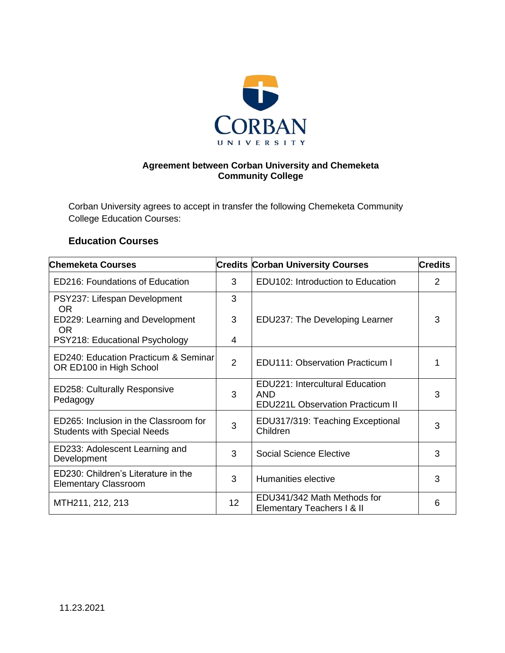

## **Agreement between Corban University and Chemeketa Community College**

Corban University agrees to accept in transfer the following Chemeketa Community College Education Courses:

## **Education Courses**

| <b>Chemeketa Courses</b>                                                    |                 | <b>Credits Corban University Courses</b>                                          | <b>Credits</b> |
|-----------------------------------------------------------------------------|-----------------|-----------------------------------------------------------------------------------|----------------|
| <b>ED216: Foundations of Education</b>                                      | 3               | EDU102: Introduction to Education                                                 | 2              |
| PSY237: Lifespan Development<br><b>OR</b>                                   | 3               |                                                                                   |                |
| ED229: Learning and Development<br><b>OR</b>                                | 3               | EDU237: The Developing Learner                                                    | 3              |
| PSY218: Educational Psychology                                              | 4               |                                                                                   |                |
| ED240: Education Practicum & Seminar<br>OR ED100 in High School             | $\overline{2}$  | <b>EDU111: Observation Practicum I</b>                                            |                |
| <b>ED258: Culturally Responsive</b><br>Pedagogy                             | 3               | EDU221: Intercultural Education<br>AND<br><b>EDU221L Observation Practicum II</b> | 3              |
| ED265: Inclusion in the Classroom for<br><b>Students with Special Needs</b> | 3               | EDU317/319: Teaching Exceptional<br>Children                                      | 3              |
| ED233: Adolescent Learning and<br>Development                               | 3               | <b>Social Science Elective</b>                                                    | 3              |
| ED230: Children's Literature in the<br><b>Elementary Classroom</b>          | 3               | Humanities elective                                                               | 3              |
| MTH211, 212, 213                                                            | 12 <sup>2</sup> | EDU341/342 Math Methods for<br>Elementary Teachers I & II                         | 6              |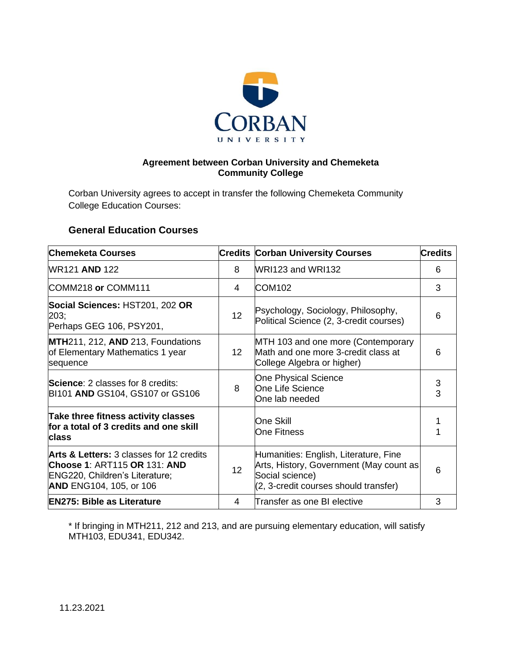

## **Agreement between Corban University and Chemeketa Community College**

Corban University agrees to accept in transfer the following Chemeketa Community College Education Courses:

## **General Education Courses**

| <b>Chemeketa Courses</b>                                                                                                                                |                 | <b>Credits Corban University Courses</b>                                                                                                     | <b>Credits</b>  |
|---------------------------------------------------------------------------------------------------------------------------------------------------------|-----------------|----------------------------------------------------------------------------------------------------------------------------------------------|-----------------|
| <b>WR121 AND 122</b>                                                                                                                                    | 8               | WRI123 and WRI132                                                                                                                            | 6               |
| COMM218 or COMM111                                                                                                                                      | 4               | <b>COM102</b>                                                                                                                                | 3               |
| Social Sciences: HST201, 202 OR<br>203;<br>Perhaps GEG 106, PSY201,                                                                                     | 12 <sup>2</sup> | Psychology, Sociology, Philosophy,<br>Political Science (2, 3-credit courses)                                                                | 6               |
| MTH211, 212, AND 213, Foundations<br>of Elementary Mathematics 1 year<br>sequence                                                                       | 12 <sup>°</sup> | MTH 103 and one more (Contemporary<br>Math and one more 3-credit class at<br>College Algebra or higher)                                      | 6               |
| <b>Science: 2 classes for 8 credits:</b><br>BI101 AND GS104, GS107 or GS106                                                                             | 8               | <b>One Physical Science</b><br>One Life Science<br>One lab needed                                                                            | $\sqrt{3}$<br>3 |
| Take three fitness activity classes<br>for a total of 3 credits and one skill<br><b>class</b>                                                           |                 | <b>One Skill</b><br><b>One Fitness</b>                                                                                                       |                 |
| <b>Arts &amp; Letters: 3 classes for 12 credits</b><br>Choose 1: ART115 OR 131: AND<br>ENG220, Children's Literature;<br><b>AND ENG104, 105, or 106</b> | 12              | Humanities: English, Literature, Fine<br>Arts, History, Government (May count as<br>Social science)<br>(2, 3-credit courses should transfer) | 6               |
| <b>EN275: Bible as Literature</b>                                                                                                                       | 4               | Transfer as one BI elective                                                                                                                  | 3               |

\* If bringing in MTH211, 212 and 213, and are pursuing elementary education, will satisfy MTH103, EDU341, EDU342.